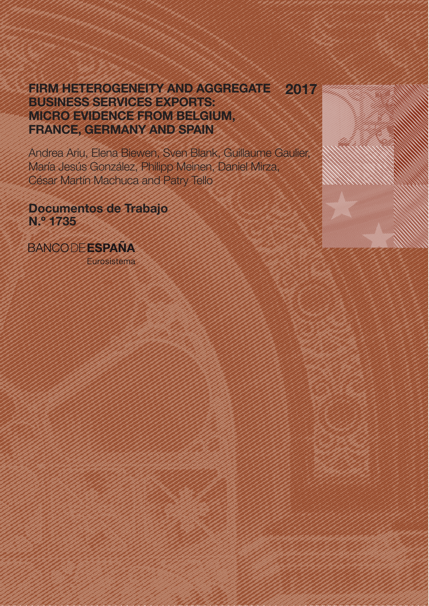# FIRM HETEROGENEITY AND AGGREGATE BUSINESS SERVICES EXPORTS: MICRO EVIDENCE FROM BELGIUM, FRANCE, GERMANY AND SPAIN 2017

Andrea Ariu, Elena Biewen, Sven Blank, Guillaume Gaulier, María Jesús González, Philipp Meinen, Daniel Mirza, César Martín Machuca and Patry Tello

Documentos de Trabajo N.º 1735

**BANCODEESPANA** Eurosistema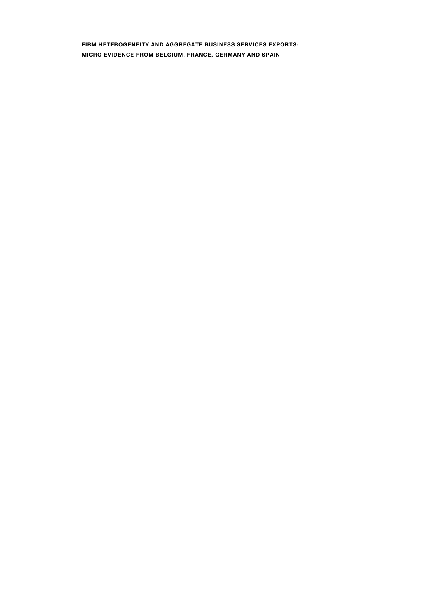**FIRM HETEROGENEITY AND AGGREGATE BUSINESS SERVICES EXPORTS: MICRO EVIDENCE FROM BELGIUM, FRANCE, GERMANY AND SPAIN**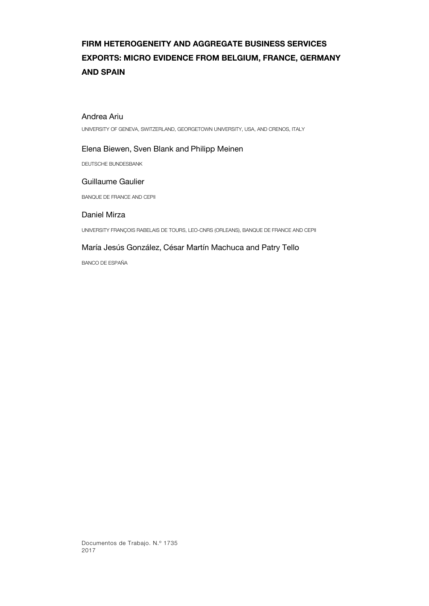# **FIRM HETEROGENEITY AND AGGREGATE BUSINESS SERVICES EXPORTS: MICRO EVIDENCE FROM BELGIUM, FRANCE, GERMANY AND SPAIN**

# Andrea Ariu

UNIVERSITY OF GENEVA, SWITZERLAND, GEORGETOWN UNIVERSITY, USA, AND CRENOS, ITALY

# Elena Biewen, Sven Blank and Philipp Meinen

DEUTSCHE BUNDESBANK

# Guillaume Gaulier

BANQUE DE FRANCE AND CEPII

# Daniel Mirza

UNIVERSITY FRANÇOIS RABELAIS DE TOURS, LEO-CNRS (ORLEANS), BANQUE DE FRANCE AND CEPII

# María Jesús González, César Martín Machuca and Patry Tello

BANCO DE ESPAÑA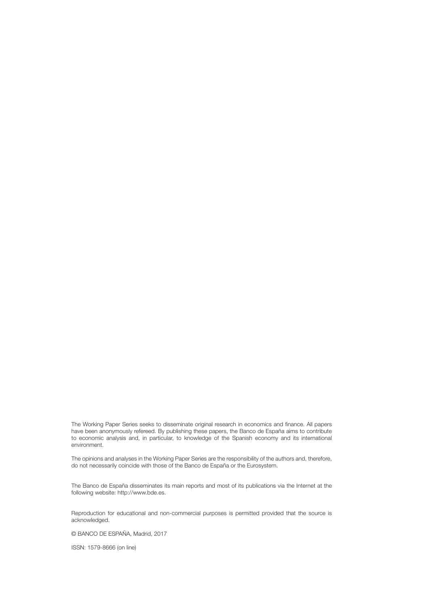The Working Paper Series seeks to disseminate original research in economics and finance. All papers have been anonymously refereed. By publishing these papers, the Banco de España aims to contribute to economic analysis and, in particular, to knowledge of the Spanish economy and its international environment.

The opinions and analyses in the Working Paper Series are the responsibility of the authors and, therefore, do not necessarily coincide with those of the Banco de España or the Eurosystem.

The Banco de España disseminates its main reports and most of its publications via the Internet at the following website: http://www.bde.es.

Reproduction for educational and non-commercial purposes is permitted provided that the source is acknowledged.

© BANCO DE ESPAÑA, Madrid, 2017

ISSN: 1579-8666 (on line)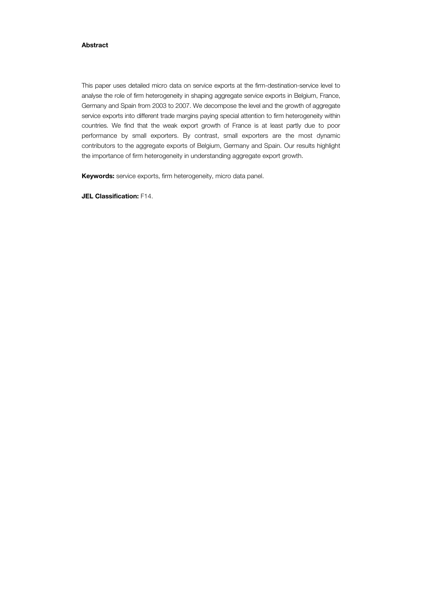# **Abstract**

This paper uses detailed micro data on service exports at the firm-destination-service level to analyse the role of firm heterogeneity in shaping aggregate service exports in Belgium, France, Germany and Spain from 2003 to 2007. We decompose the level and the growth of aggregate service exports into different trade margins paying special attention to firm heterogeneity within countries. We find that the weak export growth of France is at least partly due to poor performance by small exporters. By contrast, small exporters are the most dynamic contributors to the aggregate exports of Belgium, Germany and Spain. Our results highlight the importance of firm heterogeneity in understanding aggregate export growth.

**Keywords:** service exports, firm heterogeneity, micro data panel.

**JEL Classification:** F14.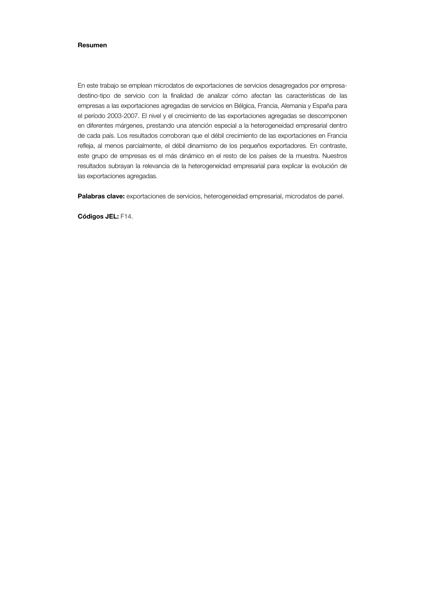#### **Resumen**

En este trabajo se emplean microdatos de exportaciones de servicios desagregados por empresadestino-tipo de servicio con la finalidad de analizar cómo afectan las características de las empresas a las exportaciones agregadas de servicios en Bélgica, Francia, Alemania y España para el período 2003-2007. El nivel y el crecimiento de las exportaciones agregadas se descomponen en diferentes márgenes, prestando una atención especial a la heterogeneidad empresarial dentro de cada país. Los resultados corroboran que el débil crecimiento de las exportaciones en Francia refleja, al menos parcialmente, el débil dinamismo de los pequeños exportadores. En contraste, este grupo de empresas es el más dinámico en el resto de los países de la muestra. Nuestros resultados subrayan la relevancia de la heterogeneidad empresarial para explicar la evolución de las exportaciones agregadas.

Palabras clave: exportaciones de servicios, heterogeneidad empresarial, microdatos de panel.

**Códigos JEL:** F14.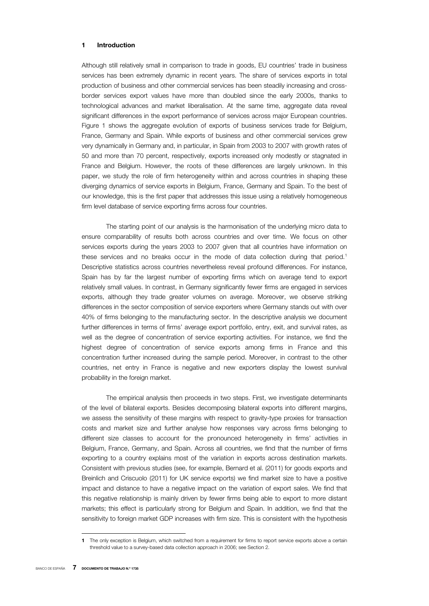### **1 Introduction**

Although still relatively small in comparison to trade in goods, EU countries' trade in business services has been extremely dynamic in recent years. The share of services exports in total production of business and other commercial services has been steadily increasing and crossborder services export values have more than doubled since the early 2000s, thanks to technological advances and market liberalisation. At the same time, aggregate data reveal significant differences in the export performance of services across major European countries. Figure 1 shows the aggregate evolution of exports of business services trade for Belgium, France, Germany and Spain. While exports of business and other commercial services grew very dynamically in Germany and, in particular, in Spain from 2003 to 2007 with growth rates of 50 and more than 70 percent, respectively, exports increased only modestly or stagnated in France and Belgium. However, the roots of these differences are largely unknown. In this paper, we study the role of firm heterogeneity within and across countries in shaping these diverging dynamics of service exports in Belgium, France, Germany and Spain. To the best of our knowledge, this is the first paper that addresses this issue using a relatively homogeneous firm level database of service exporting firms across four countries.

The starting point of our analysis is the harmonisation of the underlying micro data to ensure comparability of results both across countries and over time. We focus on other services exports during the years 2003 to 2007 given that all countries have information on these services and no breaks occur in the mode of data collection during that period.<sup>1</sup> Descriptive statistics across countries nevertheless reveal profound differences. For instance, Spain has by far the largest number of exporting firms which on average tend to export relatively small values. In contrast, in Germany significantly fewer firms are engaged in services exports, although they trade greater volumes on average. Moreover, we observe striking differences in the sector composition of service exporters where Germany stands out with over 40% of firms belonging to the manufacturing sector. In the descriptive analysis we document further differences in terms of firms' average export portfolio, entry, exit, and survival rates, as well as the degree of concentration of service exporting activities. For instance, we find the highest degree of concentration of service exports among firms in France and this concentration further increased during the sample period. Moreover, in contrast to the other countries, net entry in France is negative and new exporters display the lowest survival probability in the foreign market.

The empirical analysis then proceeds in two steps. First, we investigate determinants of the level of bilateral exports. Besides decomposing bilateral exports into different margins, we assess the sensitivity of these margins with respect to gravity-type proxies for transaction costs and market size and further analyse how responses vary across firms belonging to different size classes to account for the pronounced heterogeneity in firms' activities in Belgium, France, Germany, and Spain. Across all countries, we find that the number of firms exporting to a country explains most of the variation in exports across destination markets. Consistent with previous studies (see, for example, Bernard et al. (2011) for goods exports and Breinlich and Criscuolo (2011) for UK service exports) we find market size to have a positive impact and distance to have a negative impact on the variation of export sales. We find that this negative relationship is mainly driven by fewer firms being able to export to more distant markets; this effect is particularly strong for Belgium and Spain. In addition, we find that the sensitivity to foreign market GDP increases with firm size. This is consistent with the hypothesis

I

**<sup>1</sup>** The only exception is Belgium, which switched from a requirement for firms to report service exports above a certain threshold value to a survey-based data collection approach in 2006; see Section 2.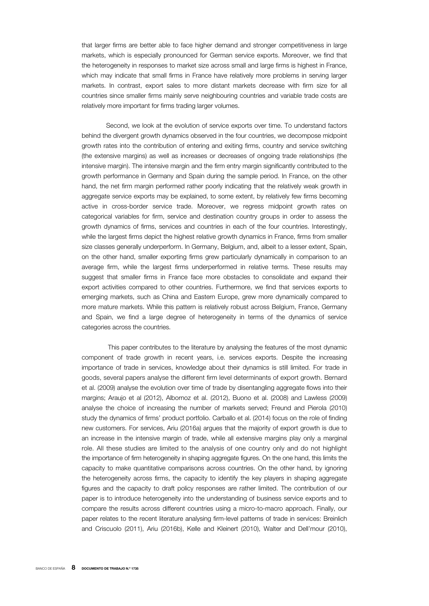that larger firms are better able to face higher demand and stronger competitiveness in large markets, which is especially pronounced for German service exports. Moreover, we find that the heterogeneity in responses to market size across small and large firms is highest in France, which may indicate that small firms in France have relatively more problems in serving larger markets. In contrast, export sales to more distant markets decrease with firm size for all countries since smaller firms mainly serve neighbouring countries and variable trade costs are relatively more important for firms trading larger volumes.

Second, we look at the evolution of service exports over time. To understand factors behind the divergent growth dynamics observed in the four countries, we decompose midpoint growth rates into the contribution of entering and exiting firms, country and service switching (the extensive margins) as well as increases or decreases of ongoing trade relationships (the intensive margin). The intensive margin and the firm entry margin significantly contributed to the growth performance in Germany and Spain during the sample period. In France, on the other hand, the net firm margin performed rather poorly indicating that the relatively weak growth in aggregate service exports may be explained, to some extent, by relatively few firms becoming active in cross-border service trade. Moreover, we regress midpoint growth rates on categorical variables for firm, service and destination country groups in order to assess the growth dynamics of firms, services and countries in each of the four countries. Interestingly, while the largest firms depict the highest relative growth dynamics in France, firms from smaller size classes generally underperform. In Germany, Belgium, and, albeit to a lesser extent, Spain, on the other hand, smaller exporting firms grew particularly dynamically in comparison to an average firm, while the largest firms underperformed in relative terms. These results may suggest that smaller firms in France face more obstacles to consolidate and expand their export activities compared to other countries. Furthermore, we find that services exports to emerging markets, such as China and Eastern Europe, grew more dynamically compared to more mature markets. While this pattern is relatively robust across Belgium, France, Germany and Spain, we find a large degree of heterogeneity in terms of the dynamics of service categories across the countries.

 This paper contributes to the literature by analysing the features of the most dynamic component of trade growth in recent years, i.e. services exports. Despite the increasing importance of trade in services, knowledge about their dynamics is still limited. For trade in goods, several papers analyse the different firm level determinants of export growth. Bernard et al. (2009) analyse the evolution over time of trade by disentangling aggregate flows into their margins; Araujo et al (2012), Albornoz et al. (2012), Buono et al. (2008) and Lawless (2009) analyse the choice of increasing the number of markets served; Freund and Pierola (2010) study the dynamics of firms' product portfolio. Carballo et al. (2014) focus on the role of finding new customers. For services, Ariu (2016a) argues that the majority of export growth is due to an increase in the intensive margin of trade, while all extensive margins play only a marginal role. All these studies are limited to the analysis of one country only and do not highlight the importance of firm heterogeneity in shaping aggregate figures. On the one hand, this limits the capacity to make quantitative comparisons across countries. On the other hand, by ignoring the heterogeneity across firms, the capacity to identify the key players in shaping aggregate figures and the capacity to draft policy responses are rather limited. The contribution of our paper is to introduce heterogeneity into the understanding of business service exports and to compare the results across different countries using a micro-to-macro approach. Finally, our paper relates to the recent literature analysing firm-level patterns of trade in services: Breinlich and Criscuolo (2011), Ariu (2016b), Kelle and Kleinert (2010), Walter and Dell'mour (2010),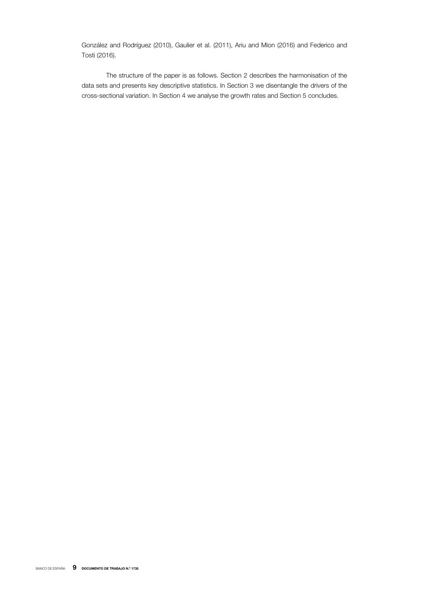González and Rodríguez (2010), Gaulier et al. (2011), Ariu and Mion (2016) and Federico and Tosti (2016).

The structure of the paper is as follows. Section 2 describes the harmonisation of the data sets and presents key descriptive statistics. In Section 3 we disentangle the drivers of the cross-sectional variation. In Section 4 we analyse the growth rates and Section 5 concludes.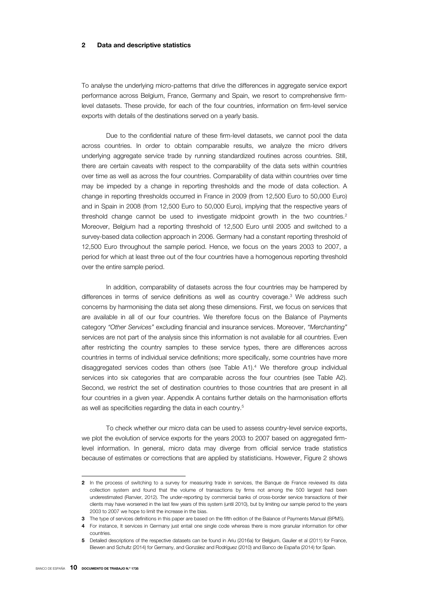#### **2 Data and descriptive statistics**

To analyse the underlying micro-patterns that drive the differences in aggregate service export performance across Belgium, France, Germany and Spain, we resort to comprehensive firmlevel datasets. These provide, for each of the four countries, information on firm-level service exports with details of the destinations served on a yearly basis.

Due to the confidential nature of these firm-level datasets, we cannot pool the data across countries. In order to obtain comparable results, we analyze the micro drivers underlying aggregate service trade by running standardized routines across countries. Still, there are certain caveats with respect to the comparability of the data sets within countries over time as well as across the four countries. Comparability of data within countries over time may be impeded by a change in reporting thresholds and the mode of data collection. A change in reporting thresholds occurred in France in 2009 (from 12,500 Euro to 50,000 Euro) and in Spain in 2008 (from 12,500 Euro to 50,000 Euro), implying that the respective years of threshold change cannot be used to investigate midpoint growth in the two countries. $2$ Moreover, Belgium had a reporting threshold of 12,500 Euro until 2005 and switched to a survey-based data collection approach in 2006. Germany had a constant reporting threshold of 12,500 Euro throughout the sample period. Hence, we focus on the years 2003 to 2007, a period for which at least three out of the four countries have a homogenous reporting threshold over the entire sample period.

In addition, comparability of datasets across the four countries may be hampered by differences in terms of service definitions as well as country coverage.3 We address such concerns by harmonising the data set along these dimensions. First, we focus on services that are available in all of our four countries. We therefore focus on the Balance of Payments category *"Other Services"* excluding financial and insurance services. Moreover, *"Merchanting"* services are not part of the analysis since this information is not available for all countries. Even after restricting the country samples to these service types, there are differences across countries in terms of individual service definitions; more specifically, some countries have more disaggregated services codes than others (see Table A1).4 We therefore group individual services into six categories that are comparable across the four countries (see Table A2). Second, we restrict the set of destination countries to those countries that are present in all four countries in a given year. Appendix A contains further details on the harmonisation efforts as well as specificities regarding the data in each country.5

To check whether our micro data can be used to assess country-level service exports, we plot the evolution of service exports for the years 2003 to 2007 based on aggregated firmlevel information. In general, micro data may diverge from official service trade statistics because of estimates or corrections that are applied by statisticians. However, Figure 2 shows

**<sup>2</sup>** In the process of switching to a survey for measuring trade in services, the Banque de France reviewed its data collection system and found that the volume of transactions by firms not among the 500 largest had been underestimated (Ranvier, 2012). The under-reporting by commercial banks of cross-border service transactions of their clients may have worsened in the last few years of this system (until 2010), but by limiting our sample period to the years 2003 to 2007 we hope to limit the increase in the bias.

**<sup>3</sup>** The type of services definitions in this paper are based on the fifth edition of the Balance of Payments Manual (BPM5).

**<sup>4</sup>** For instance, It services in Germany just entail one single code whereas there is more granular information for other countries.

**<sup>5</sup>** Detailed descriptions of the respective datasets can be found in Ariu (2016a) for Belgium, Gaulier et al (2011) for France, Biewen and Schultz (2014) for Germany, and González and Rodríguez (2010) and Banco de España (2014) for Spain.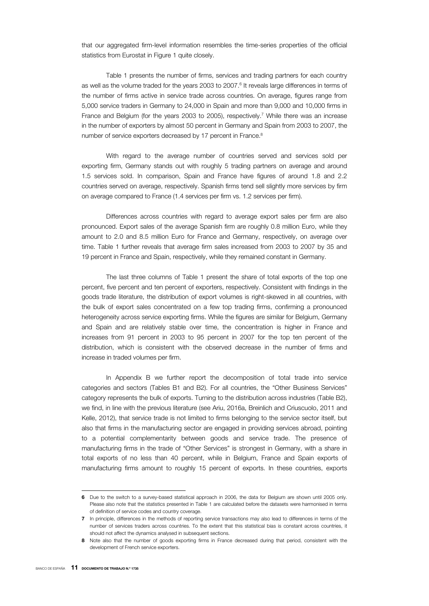that our aggregated firm-level information resembles the time-series properties of the official statistics from Eurostat in Figure 1 quite closely.

Table 1 presents the number of firms, services and trading partners for each country as well as the volume traded for the years 2003 to 2007.<sup>6</sup> It reveals large differences in terms of the number of firms active in service trade across countries. On average, figures range from 5,000 service traders in Germany to 24,000 in Spain and more than 9,000 and 10,000 firms in France and Belgium (for the years 2003 to 2005), respectively.<sup>7</sup> While there was an increase in the number of exporters by almost 50 percent in Germany and Spain from 2003 to 2007, the number of service exporters decreased by 17 percent in France.<sup>8</sup>

With regard to the average number of countries served and services sold per exporting firm, Germany stands out with roughly 5 trading partners on average and around 1.5 services sold. In comparison, Spain and France have figures of around 1.8 and 2.2 countries served on average, respectively. Spanish firms tend sell slightly more services by firm on average compared to France (1.4 services per firm vs. 1.2 services per firm).

Differences across countries with regard to average export sales per firm are also pronounced. Export sales of the average Spanish firm are roughly 0.8 million Euro, while they amount to 2.0 and 8.5 million Euro for France and Germany, respectively, on average over time. Table 1 further reveals that average firm sales increased from 2003 to 2007 by 35 and 19 percent in France and Spain, respectively, while they remained constant in Germany.

The last three columns of Table 1 present the share of total exports of the top one percent, five percent and ten percent of exporters, respectively. Consistent with findings in the goods trade literature, the distribution of export volumes is right-skewed in all countries, with the bulk of export sales concentrated on a few top trading firms, confirming a pronounced heterogeneity across service exporting firms. While the figures are similar for Belgium, Germany and Spain and are relatively stable over time, the concentration is higher in France and increases from 91 percent in 2003 to 95 percent in 2007 for the top ten percent of the distribution, which is consistent with the observed decrease in the number of firms and increase in traded volumes per firm.

In Appendix B we further report the decomposition of total trade into service categories and sectors (Tables B1 and B2). For all countries, the "Other Business Services" category represents the bulk of exports. Turning to the distribution across industries (Table B2), we find, in line with the previous literature (see Ariu, 2016a, Breinlich and Criuscuolo, 2011 and Kelle, 2012), that service trade is not limited to firms belonging to the service sector itself, but also that firms in the manufacturing sector are engaged in providing services abroad, pointing to a potential complementarity between goods and service trade. The presence of manufacturing firms in the trade of "Other Services" is strongest in Germany, with a share in total exports of no less than 40 percent, while in Belgium, France and Spain exports of manufacturing firms amount to roughly 15 percent of exports. In these countries, exports

I

**<sup>6</sup>** Due to the switch to a survey-based statistical approach in 2006, the data for Belgium are shown until 2005 only. Please also note that the statistics presented in Table 1 are calculated before the datasets were harmonised in terms of definition of service codes and country coverage.

**<sup>7</sup>** In principle, differences in the methods of reporting service transactions may also lead to differences in terms of the number of services traders across countries. To the extent that this statistical bias is constant across countries, it should not affect the dynamics analysed in subsequent sections.

**<sup>8</sup>** Note also that the number of goods exporting firms in France decreased during that period, consistent with the development of French service exporters.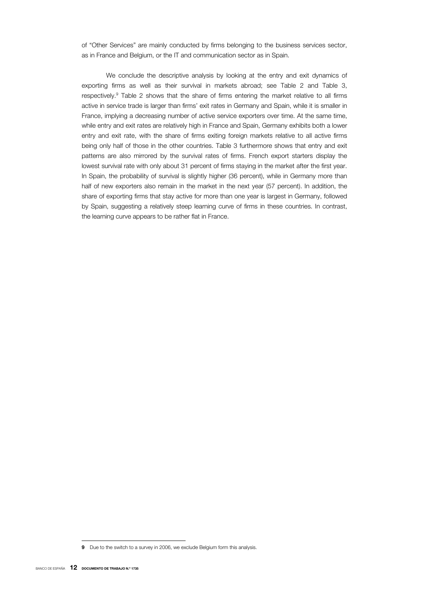of "Other Services" are mainly conducted by firms belonging to the business services sector, as in France and Belgium, or the IT and communication sector as in Spain.

We conclude the descriptive analysis by looking at the entry and exit dynamics of exporting firms as well as their survival in markets abroad; see Table 2 and Table 3, respectively.9 Table 2 shows that the share of firms entering the market relative to all firms active in service trade is larger than firms' exit rates in Germany and Spain, while it is smaller in France, implying a decreasing number of active service exporters over time. At the same time, while entry and exit rates are relatively high in France and Spain, Germany exhibits both a lower entry and exit rate, with the share of firms exiting foreign markets relative to all active firms being only half of those in the other countries. Table 3 furthermore shows that entry and exit patterns are also mirrored by the survival rates of firms. French export starters display the lowest survival rate with only about 31 percent of firms staying in the market after the first year. In Spain, the probability of survival is slightly higher (36 percent), while in Germany more than half of new exporters also remain in the market in the next year (57 percent). In addition, the share of exporting firms that stay active for more than one year is largest in Germany, followed by Spain, suggesting a relatively steep learning curve of firms in these countries. In contrast, the learning curve appears to be rather flat in France.

**<sup>9</sup>** Due to the switch to a survey in 2006, we exclude Belgium form this analysis.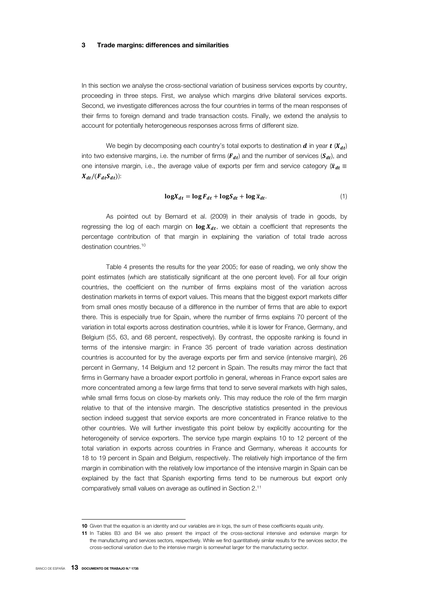#### **3 Trade margins: differences and similarities**

In this section we analyse the cross-sectional variation of business services exports by country, proceeding in three steps. First, we analyse which margins drive bilateral services exports. Second, we investigate differences across the four countries in terms of the mean responses of their firms to foreign demand and trade transaction costs. Finally, we extend the analysis to account for potentially heterogeneous responses across firms of different size.

We begin by decomposing each country's total exports to destination  $d$  in year  $t$  ( $X_{dt}$ ) into two extensive margins, i.e. the number of firms ( $F_{dt}$ ) and the number of services ( $S_{dt}$ ), and one intensive margin, i.e., the average value of exports per firm and service category ( $\bar{x}_{dt}$   $\equiv$  $X_{dt}/(F_{dt}S_{dt})$ :

$$
\log X_{dt} = \log F_{dt} + \log S_{dt} + \log \overline{x}_{dt}.
$$
 (1)

As pointed out by Bernard et al. (2009) in their analysis of trade in goods, by regressing the log of each margin on  $\log X_{dt}$ , we obtain a coefficient that represents the percentage contribution of that margin in explaining the variation of total trade across destination countries.<sup>10</sup>

Table 4 presents the results for the year 2005; for ease of reading, we only show the point estimates (which are statistically significant at the one percent level). For all four origin countries, the coefficient on the number of firms explains most of the variation across destination markets in terms of export values. This means that the biggest export markets differ from small ones mostly because of a difference in the number of firms that are able to export there. This is especially true for Spain, where the number of firms explains 70 percent of the variation in total exports across destination countries, while it is lower for France, Germany, and Belgium (55, 63, and 68 percent, respectively). By contrast, the opposite ranking is found in terms of the intensive margin: in France 35 percent of trade variation across destination countries is accounted for by the average exports per firm and service (intensive margin), 26 percent in Germany, 14 Belgium and 12 percent in Spain. The results may mirror the fact that firms in Germany have a broader export portfolio in general, whereas in France export sales are more concentrated among a few large firms that tend to serve several markets with high sales, while small firms focus on close-by markets only. This may reduce the role of the firm margin relative to that of the intensive margin. The descriptive statistics presented in the previous section indeed suggest that service exports are more concentrated in France relative to the other countries. We will further investigate this point below by explicitly accounting for the heterogeneity of service exporters. The service type margin explains 10 to 12 percent of the total variation in exports across countries in France and Germany, whereas it accounts for 18 to 19 percent in Spain and Belgium, respectively. The relatively high importance of the firm margin in combination with the relatively low importance of the intensive margin in Spain can be explained by the fact that Spanish exporting firms tend to be numerous but export only comparatively small values on average as outlined in Section 2.11

**<sup>10</sup>** Given that the equation is an identity and our variables are in logs, the sum of these coefficients equals unity.

**<sup>11</sup>** In Tables B3 and B4 we also present the impact of the cross-sectional intensive and extensive margin for the manufacturing and services sectors, respectively. While we find quantitatively similar results for the services sector, the cross-sectional variation due to the intensive margin is somewhat larger for the manufacturing sector.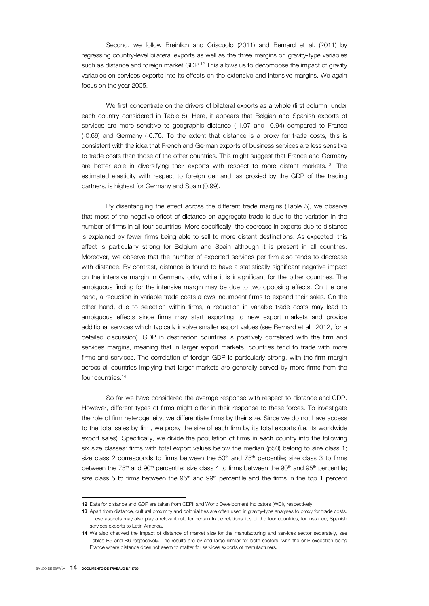Second, we follow Breinlich and Criscuolo (2011) and Bernard et al. (2011) by regressing country-level bilateral exports as well as the three margins on gravity-type variables such as distance and foreign market GDP.<sup>12</sup> This allows us to decompose the impact of gravity variables on services exports into its effects on the extensive and intensive margins. We again focus on the year 2005.

We first concentrate on the drivers of bilateral exports as a whole (first column, under each country considered in Table 5). Here, it appears that Belgian and Spanish exports of services are more sensitive to geographic distance (-1.07 and -0.94) compared to France (-0.66) and Germany (-0.76. To the extent that distance is a proxy for trade costs, this is consistent with the idea that French and German exports of business services are less sensitive to trade costs than those of the other countries. This might suggest that France and Germany are better able in diversifying their exports with respect to more distant markets.13. The estimated elasticity with respect to foreign demand, as proxied by the GDP of the trading partners, is highest for Germany and Spain (0.99).

By disentangling the effect across the different trade margins (Table 5), we observe that most of the negative effect of distance on aggregate trade is due to the variation in the number of firms in all four countries. More specifically, the decrease in exports due to distance is explained by fewer firms being able to sell to more distant destinations. As expected, this effect is particularly strong for Belgium and Spain although it is present in all countries. Moreover, we observe that the number of exported services per firm also tends to decrease with distance. By contrast, distance is found to have a statistically significant negative impact on the intensive margin in Germany only, while it is insignificant for the other countries. The ambiguous finding for the intensive margin may be due to two opposing effects. On the one hand, a reduction in variable trade costs allows incumbent firms to expand their sales. On the other hand, due to selection within firms, a reduction in variable trade costs may lead to ambiguous effects since firms may start exporting to new export markets and provide additional services which typically involve smaller export values (see Bernard et al., 2012, for a detailed discussion). GDP in destination countries is positively correlated with the firm and services margins, meaning that in larger export markets, countries tend to trade with more firms and services. The correlation of foreign GDP is particularly strong, with the firm margin across all countries implying that larger markets are generally served by more firms from the four countries.<sup>14</sup>

So far we have considered the average response with respect to distance and GDP. However, different types of firms might differ in their response to these forces. To investigate the role of firm heterogeneity, we differentiate firms by their size. Since we do not have access to the total sales by firm, we proxy the size of each firm by its total exports (i.e. its worldwide export sales). Specifically, we divide the population of firms in each country into the following six size classes: firms with total export values below the median (p50) belong to size class 1; size class 2 corresponds to firms between the  $50<sup>th</sup>$  and  $75<sup>th</sup>$  percentile; size class 3 to firms between the 75<sup>th</sup> and 90<sup>th</sup> percentile; size class 4 to firms between the 90<sup>th</sup> and 95<sup>th</sup> percentile; size class 5 to firms between the  $95<sup>th</sup>$  and  $99<sup>th</sup>$  percentile and the firms in the top 1 percent

**<sup>12</sup>** Data for distance and GDP are taken from CEPII and World Development Indicators (WDI), respectively.

**<sup>13</sup>** Apart from distance, cultural proximity and colonial ties are often used in gravity-type analyses to proxy for trade costs. These aspects may also play a relevant role for certain trade relationships of the four countries, for instance, Spanish services exports to Latin America.

**<sup>14</sup>** We also checked the impact of distance of market size for the manufacturing and services sector separately, see Tables B5 and B6 respectively. The results are by and large similar for both sectors, with the only exception being France where distance does not seem to matter for services exports of manufacturers.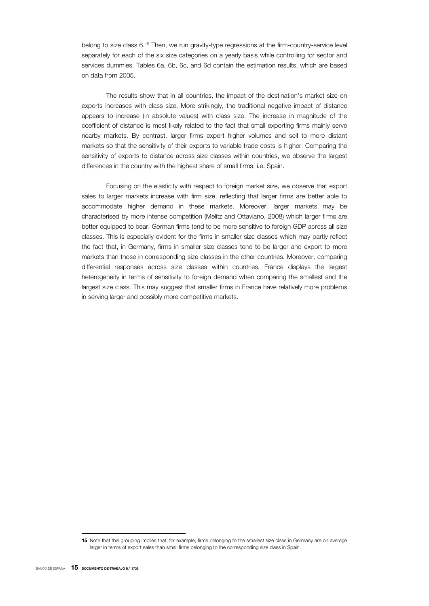belong to size class 6.<sup>15</sup> Then, we run gravity-type regressions at the firm-country-service level separately for each of the six size categories on a yearly basis while controlling for sector and services dummies. Tables 6a, 6b, 6c, and 6d contain the estimation results, which are based on data from 2005.

The results show that in all countries, the impact of the destination's market size on exports increases with class size. More strikingly, the traditional negative impact of distance appears to increase (in absolute values) with class size. The increase in magnitude of the coefficient of distance is most likely related to the fact that small exporting firms mainly serve nearby markets. By contrast, larger firms export higher volumes and sell to more distant markets so that the sensitivity of their exports to variable trade costs is higher. Comparing the sensitivity of exports to distance across size classes within countries, we observe the largest differences in the country with the highest share of small firms, i.e. Spain.

Focusing on the elasticity with respect to foreign market size, we observe that export sales to larger markets increase with firm size, reflecting that larger firms are better able to accommodate higher demand in these markets. Moreover, larger markets may be characterised by more intense competition (Melitz and Ottaviano, 2008) which larger firms are better equipped to bear. German firms tend to be more sensitive to foreign GDP across all size classes. This is especially evident for the firms in smaller size classes which may partly reflect the fact that, in Germany, firms in smaller size classes tend to be larger and export to more markets than those in corresponding size classes in the other countries. Moreover, comparing differential responses across size classes within countries, France displays the largest heterogeneity in terms of sensitivity to foreign demand when comparing the smallest and the largest size class. This may suggest that smaller firms in France have relatively more problems in serving larger and possibly more competitive markets.

I

**<sup>15</sup>** Note that this grouping implies that, for example, firms belonging to the smallest size class in Germany are on average larger in terms of export sales than small firms belonging to the corresponding size class in Spain.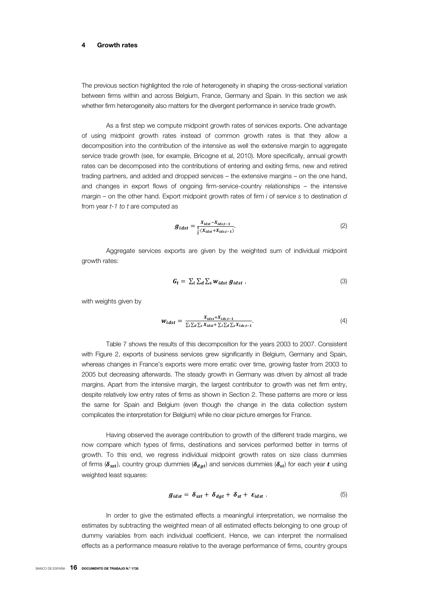#### **4 Growth rates**

The previous section highlighted the role of heterogeneity in shaping the cross-sectional variation between firms within and across Belgium, France, Germany and Spain. In this section we ask whether firm heterogeneity also matters for the divergent performance in service trade growth.

As a first step we compute midpoint growth rates of services exports. One advantage of using midpoint growth rates instead of common growth rates is that they allow a decomposition into the contribution of the intensive as well the extensive margin to aggregate service trade growth (see, for example, Bricogne et al, 2010). More specifically, annual growth rates can be decomposed into the contributions of entering and exiting firms, new and retired trading partners, and added and dropped services – the extensive margins – on the one hand, and changes in export flows of ongoing firm-service-country relationships – the intensive margin – on the other hand. Export midpoint growth rates of firm *i* of service *s* to destination *d*  from year *t-1 to t* are computed as

$$
g_{idst} = \frac{X_{idst} - X_{idst-1}}{\frac{1}{2}(X_{idst} + X_{idst-1})}.
$$
 (2)

Aggregate services exports are given by the weighted sum of individual midpoint growth rates:

$$
G_t = \sum_i \sum_d \sum_s w_{idst} g_{idst} \tag{3}
$$

with weights given by

$$
W_{idst} = \frac{X_{idst} + X_{ids,t-1}}{\sum_{i} \sum_{d} \sum_{s} X_{idst} + \sum_{i} \sum_{d} \sum_{s} X_{ids,t-1}}.
$$
\n
$$
(4)
$$

Table 7 shows the results of this decomposition for the years 2003 to 2007. Consistent with Figure 2, exports of business services grew significantly in Belgium, Germany and Spain, whereas changes in France's exports were more erratic over time, growing faster from 2003 to 2005 but decreasing afterwards. The steady growth in Germany was driven by almost all trade margins. Apart from the intensive margin, the largest contributor to growth was net firm entry, despite relatively low entry rates of firms as shown in Section 2. These patterns are more or less the same for Spain and Belgium (even though the change in the data collection system complicates the interpretation for Belgium) while no clear picture emerges for France.

Having observed the average contribution to growth of the different trade margins, we now compare which types of firms, destinations and services performed better in terms of growth. To this end, we regress individual midpoint growth rates on size class dummies of firms ( $\delta_{szt}$ ), country group dummies ( $\delta_{dat}$ ) and services dummies ( $\delta_{st}$ ) for each year t using weighted least squares:

$$
g_{idst} = \delta_{szt} + \delta_{dgt} + \delta_{st} + \varepsilon_{idst} . \qquad (5)
$$

In order to give the estimated effects a meaningful interpretation, we normalise the estimates by subtracting the weighted mean of all estimated effects belonging to one group of dummy variables from each individual coefficient. Hence, we can interpret the normalised effects as a performance measure relative to the average performance of firms, country groups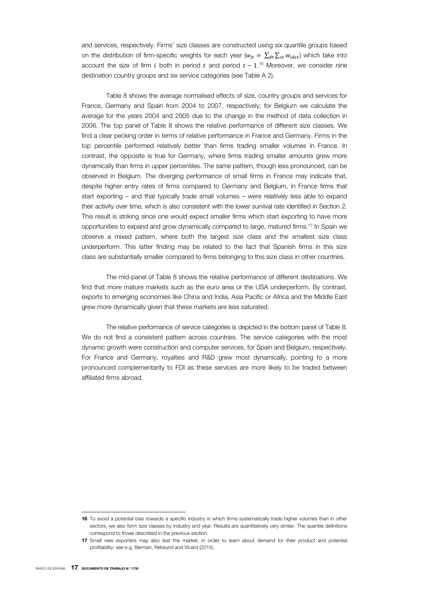and services, respectively. Firms' size classes are constructed using six quantile groups based on the distribution of firm-specific weights for each year ( $w_{it} = \sum_{dt} \sum_{st} w_{idst}$ ) which take into account the size of firm i both in period t and period  $t-1.$ <sup>6</sup> Moreover, we consider nine destination country groups and six service categories (see Table A 2).

Table 8 shows the average normalised effects of size, country groups and services for France, Germany and Spain from 2004 to 2007, respectively; for Belgium we calculate the average for the years 2004 and 2005 due to the change in the method of data collection in 2006. The top panel of Table 8 shows the relative performance of different size classes. We find a clear pecking order in terms of relative performance in France and Germany. Firms in the top percentile performed relatively better than firms trading smaller volumes in France. In contrast, the opposite is true for Germany, where firms trading smaller amounts grew more dynamically than firms in upper percentiles. The same pattern, though less pronounced, can be observed in Belgium. The diverging performance of small firms in France may indicate that, despite higher entry rates of firms compared to Germany and Belgium, in France firms that start exporting – and that typically trade small volumes – were relatively less able to expand their activity over time, which is also consistent with the lower survival rate identified in Section 2. This result is striking since one would expect smaller firms which start exporting to have more opportunities to expand and grow dynamically compared to large, matured firms.17 In Spain we observe a mixed pattern, where both the largest size class and the smallest size class underperform. This latter finding may be related to the fact that Spanish firms in this size class are substantially smaller compared to firms belonging to this size class in other countries.

The mid-panel of Table 8 shows the relative performance of different destinations. We find that more mature markets such as the euro area or the USA underperform. By contrast, exports to emerging economies like China and India, Asia Pacific or Africa and the Middle East grew more dynamically given that these markets are less saturated.

The relative performance of service categories is depicted in the bottom panel of Table 8. We do not find a consistent pattern across countries. The service categories with the most dynamic growth were construction and computer services, for Spain and Belgium, respectively. For France and Germany, royalties and R&D grew most dynamically, pointing to a more pronounced complementarity to FDI as these services are more likely to be traded between affiliated firms abroad.

I

**<sup>16</sup>** To avoid a potential bias towards a specific industry in which firms systematically trade higher volumes than in other sectors, we also form size classes by industry and year. Results are quantitatively very similar. The quantile definitions correspond to those described in the previous section.

**<sup>17</sup>** Small new exporters may also test the market, in order to learn about demand for their product and potential profitability; see e.g. Berman, Rebeyrol and Vicard (2015).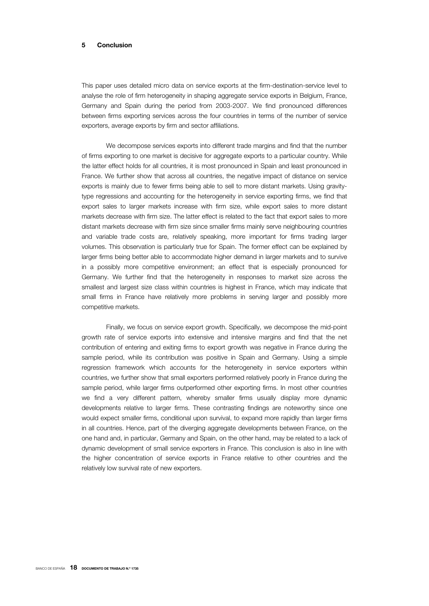#### **5 Conclusion**

This paper uses detailed micro data on service exports at the firm-destination-service level to analyse the role of firm heterogeneity in shaping aggregate service exports in Belgium, France, Germany and Spain during the period from 2003-2007. We find pronounced differences between firms exporting services across the four countries in terms of the number of service exporters, average exports by firm and sector affiliations.

We decompose services exports into different trade margins and find that the number of firms exporting to one market is decisive for aggregate exports to a particular country. While the latter effect holds for all countries, it is most pronounced in Spain and least pronounced in France. We further show that across all countries, the negative impact of distance on service exports is mainly due to fewer firms being able to sell to more distant markets. Using gravitytype regressions and accounting for the heterogeneity in service exporting firms, we find that export sales to larger markets increase with firm size, while export sales to more distant markets decrease with firm size. The latter effect is related to the fact that export sales to more distant markets decrease with firm size since smaller firms mainly serve neighbouring countries and variable trade costs are, relatively speaking, more important for firms trading larger volumes. This observation is particularly true for Spain. The former effect can be explained by larger firms being better able to accommodate higher demand in larger markets and to survive in a possibly more competitive environment; an effect that is especially pronounced for Germany. We further find that the heterogeneity in responses to market size across the smallest and largest size class within countries is highest in France, which may indicate that small firms in France have relatively more problems in serving larger and possibly more competitive markets.

Finally, we focus on service export growth. Specifically, we decompose the mid-point growth rate of service exports into extensive and intensive margins and find that the net contribution of entering and exiting firms to export growth was negative in France during the sample period, while its contribution was positive in Spain and Germany. Using a simple regression framework which accounts for the heterogeneity in service exporters within countries, we further show that small exporters performed relatively poorly in France during the sample period, while larger firms outperformed other exporting firms. In most other countries we find a very different pattern, whereby smaller firms usually display more dynamic developments relative to larger firms. These contrasting findings are noteworthy since one would expect smaller firms, conditional upon survival, to expand more rapidly than larger firms in all countries. Hence, part of the diverging aggregate developments between France, on the one hand and, in particular, Germany and Spain, on the other hand, may be related to a lack of dynamic development of small service exporters in France. This conclusion is also in line with the higher concentration of service exports in France relative to other countries and the relatively low survival rate of new exporters.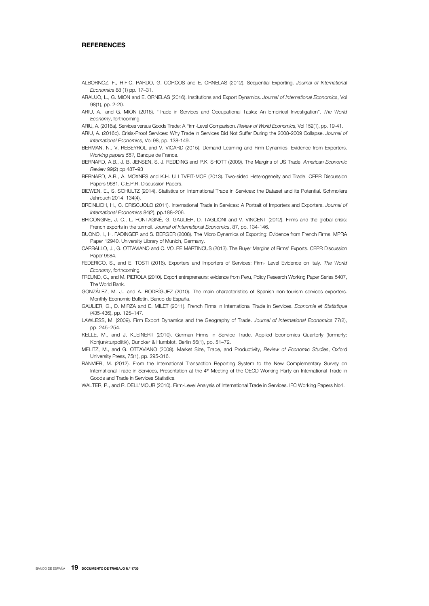#### **REFERENCES**

- ALBORNOZ, F., H.F.C. PARDO, G. CORCOS and E. ORNELAS (2012). Sequential Exporting. *Journal of International Economics* 88 (1) pp. 17–31.
- ARAUJO, L., G. MION and E. ORNELAS (2016). Institutions and Export Dynamics. *Journal of International Economics*, Vol 98(1), pp. 2-20.
- ARIU, A., and G. MION (2016). "Trade in Services and Occupational Tasks: An Empirical Investigation". *The World Economy*, forthcoming.
- ARIU, A. (2016a). Services versus Goods Trade: A Firm-Level Comparison. *Review of World Economics*, Vol 152(1), pp. 19-41.
- ARIU, A. (2016b). Crisis-Proof Services: Why Trade in Services Did Not Suffer During the 2008-2009 Collapse. *Journal of*

*International Economics*, Vol 98, pp. 138-149. BERMAN, N., V. REBEYROL and V. VICARD (2015). Demand Learning and Firm Dynamics: Evidence from Exporters. *Working papers 551,* Banque de France.

BERNARD, A.B., J. B. JENSEN, S. J. REDDING and P.K. SHOTT (2009). The Margins of US Trade. *American Economic Review* 99(2) pp.487–93

BERNARD, A.B., A. MOXNES and K.H. ULLTVEIT-MOE (2013). Two-sided Heterogeneity and Trade. CEPR Discussion Papers 9681, C.E.P.R. Discussion Papers.

BIEWEN, E., S. SCHULTZ (2014). Statistics on International Trade in Services: the Dataset and its Potential. Schmollers Jahrbuch 2014, 134(4).

BREINLICH, H., C. CRISCUOLO (2011). International Trade in Services: A Portrait of Importers and Exporters. *Journal of International Economics* 84(2), pp.188–206.

BRICONGNE, J. C., L. FONTAGNÉ, G. GAULIER, D. TAGLIONI and V. VINCENT (2012). Firms and the global crisis: French exports in the turmoil. *Journal of International Economics*, 87, pp. 134-146.

- BUONO, I., H. FADINGER and S. BERGER (2008). The Micro Dynamics of Exporting: Evidence from French Firms. MPRA Paper 12940, University Library of Munich, Germany.
- CARBALLO, J., G. OTTAVIANO and C. VOLPE MARTINCUS (2013). The Buyer Margins of Firms' Exports. CEPR Discussion Paper 9584.
- FEDERICO, S., and E. TOSTI (2016). Exporters and Importers of Services: Firm- Level Evidence on Italy. *The World Economy*, forthcoming.

FREUND, C., and M. PIEROLA (2010). Export entrepreneurs: evidence from Peru, Policy Research Working Paper Series 5407, The World Bank.

- GONZÁLEZ, M. J., and A. RODRÍGUEZ (2010). The main characteristics of Spanish non-tourism services exporters. Monthly Economic Bulletin. Banco de España.
- GAULIER, G., D. MIRZA and E. MILET (2011). French Firms in International Trade in Services. *Economie et Statistique* (435-436), pp. 125–147.
- LAWLESS, M. (2009). Firm Export Dynamics and the Geography of Trade. *Journal of International Economics* 77(2), pp. 245–254.
- KELLE, M., and J. KLEINERT (2010). German Firms in Service Trade. Applied Economics Quarterly (formerly: Konjunkturpolitik), Duncker & Humblot, Berlin 56(1), pp. 51–72.
- MELITZ, M., and G. OTTAVIANO (2008). Market Size, Trade, and Productivity, *Review of Economic Studies*, Oxford University Press, 75(1), pp. 295-316.
- RANVIER, M. (2012). From the International Transaction Reporting System to the New Complementary Survey on International Trade in Services, Presentation at the 4<sup>th</sup> Meeting of the OECD Working Party on International Trade in Goods and Trade in Services Statistics.

WALTER, P., and R. DELL'MOUR (2010). Firm-Level Analysis of International Trade in Services. IFC Working Papers No4.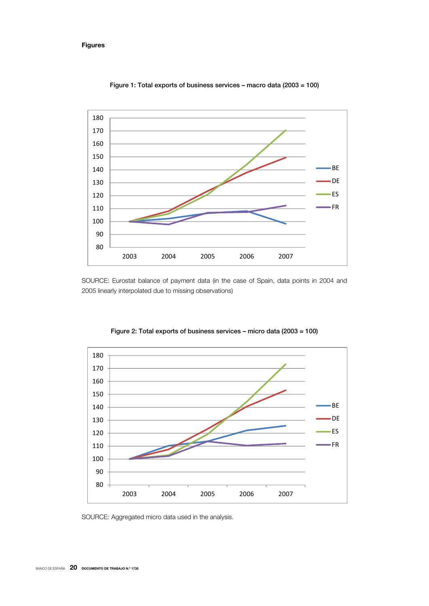# **Figures**



Figure 1: Total exports of business services – macro data (2003 = 100)

SOURCE: Eurostat balance of payment data (in the case of Spain, data points in 2004 and 2005 linearly interpolated due to missing observations)



Figure 2: Total exports of business services – micro data (2003 = 100)

SOURCE*:* Aggregated micro data used in the analysis.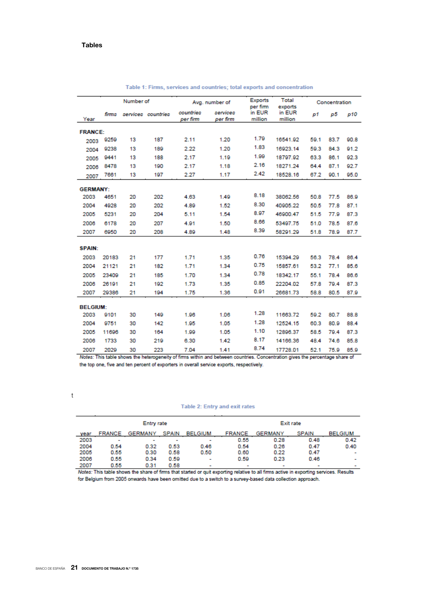|                 |       | Number of |                    |                       | Avg. number of       | <b>Exports</b><br>per firm | Total<br>exports  |      | Concentration |      |
|-----------------|-------|-----------|--------------------|-----------------------|----------------------|----------------------------|-------------------|------|---------------|------|
| Year            | firms |           | services countries | countries<br>per firm | services<br>per firm | in EUR<br>million          | in EUR<br>million | p1   | p5            | p10  |
| <b>FRANCE:</b>  |       |           |                    |                       |                      |                            |                   |      |               |      |
| 2003            | 9259  | 13        | 187                | 2.11                  | 1.20                 | 1.79                       | 16541.92          | 59.1 | 83.7          | 90.8 |
| 2004            | 9238  | 13        | 189                | 2.22                  | 1.20                 | 1.83                       | 16923.14          | 59.3 | 84.3          | 91.2 |
| 2005            | 9441  | 13        | 188                | 2.17                  | 1.19                 | 1.99                       | 18797.92          | 63.3 | 86.1          | 92.3 |
| 2006            | 8478  | 13        | 190                | 2.17                  | 1.18                 | 2.16                       | 18271.24          | 64.4 | 87.1          | 92.7 |
| 2007            | 7661  | 13        | 197                | 2.27                  | 1.17                 | 2.42                       | 18528.16          | 67.2 | 90.1          | 95.0 |
| <b>GERMANY:</b> |       |           |                    |                       |                      |                            |                   |      |               |      |
| 2003            | 4651  | 20        | 202                | 4.63                  | 1.49                 | 8.18                       | 38062.56          | 50.8 | 77.5          | 86.9 |
| 2004            | 4928  | 20        | 202                | 4.89                  | 1.52                 | 8.30                       | 40905.22          | 50.5 | 77.8          | 87.1 |
| 2005            | 5231  | 20        | 204                | 5.11                  | 1.54                 | 8.97                       | 46900.47          | 51.5 | 77.9          | 87.3 |
| 2006            | 6178  | 20        | 207                | 4.91                  | 1.50                 | 8.66                       | 53497.75          | 51.0 | 78.5          | 87.6 |
| 2007            | 6950  | 20        | 208                | 4.89                  | 1.48                 | 8.39                       | 58291.29          | 51.8 | 78.9          | 87.7 |
|                 |       |           |                    |                       |                      |                            |                   |      |               |      |
| <b>SPAIN:</b>   |       |           |                    |                       |                      |                            |                   |      |               |      |
| 2003            | 20183 | 21        | 177                | 1.71                  | 1.35                 | 0.76                       | 15394.29          | 56.3 | 78.4          | 86.4 |
| 2004            | 21121 | 21        | 182                | 1.71                  | 1.34                 | 0.75                       | 15857.61          | 53.2 | 77.1          | 85.6 |
| 2005            | 23409 | 21        | 185                | 1.70                  | 1.34                 | 0.78                       | 18342.17          | 55.1 | 78.4          | 86.6 |
| 2006            | 26191 | 21        | 192                | 1.73                  | 1.35                 | 0.85                       | 22204.02          | 57.8 | 79.4          | 87.3 |
| 2007            | 29386 | 21        | 194                | 1.75                  | 1.36                 | 0.91                       | 26681.73          | 58.8 | 80.5          | 87.9 |
| <b>BELGIUM:</b> |       |           |                    |                       |                      |                            |                   |      |               |      |
| 2003            | 9101  | 30        | 149                | 1.96                  | 1.06                 | 1.28                       | 11663.72          | 59.2 | 80.7          | 88.8 |
| 2004            | 9751  | 30        | 142                | 1.95                  | 1.05                 | 1.28                       | 12524.15          | 60.3 | 80.9          | 88.4 |
| 2005            | 11696 | 30        | 164                | 1.99                  | 1.05                 | 1.10                       | 12896.37          | 58.5 | 79.4          | 87.3 |
| 2006            | 1733  | 30        | 219                | 6.30                  | 1.42                 | 8.17                       | 14166.36          | 48.4 | 74.6          | 85.8 |
| 2007            | 2029  | 30        | 223                | 7.04                  | 1.41                 | 8.74                       | 17728.01          | 52.1 | 75.9          | 85.9 |

Table 1: Firms, services and countries; total exports and concentration

Notes: This table shows the heterogeneity of firms within and between countries. Concentration gives the percentage share of the top one, five and ten percent of exporters in overall service exports, respectively.

t

#### Table 2: Entry and exit rates

| <b>Entry rate</b> |                          |                          |                          |                |               |         | Exit rate    |                          |
|-------------------|--------------------------|--------------------------|--------------------------|----------------|---------------|---------|--------------|--------------------------|
| year              | <b>FRANCE</b>            | <b>GERMANY</b>           | <b>SPAIN</b>             | <b>BELGIUM</b> | <b>FRANCE</b> | GERMANY | <b>SPAIN</b> | <b>BELGIUM</b>           |
| 2003              | $\overline{\phantom{a}}$ | $\overline{\phantom{a}}$ | $\overline{\phantom{a}}$ | -              | 0.55          | 0.28    | 0.48         | 0.42                     |
| 2004              | 0.54                     | 0.32                     | 0.53                     | 0.46           | 0.54          | 0.26    | 0.47         | 0.40                     |
| 2005              | 0.55                     | 0.30                     | 0.58                     | 0.50           | 0.60          | 0.22    | 0.47         | -                        |
| 2006              | 0.55                     | 0.34                     | 0.59                     |                | 0.59          | 0.23    | 0.46         | $\overline{\phantom{a}}$ |
| 2007              | 0.55                     | 0.31                     | 0.58                     |                | -             | -       |              | $\overline{\phantom{a}}$ |

Notes: This table shows the share of firms that started or quit exporting relative to all firms active in exporting services. Results for Belgium from 2005 onwards have been omitted due to a switch to a survey-based data collection approach.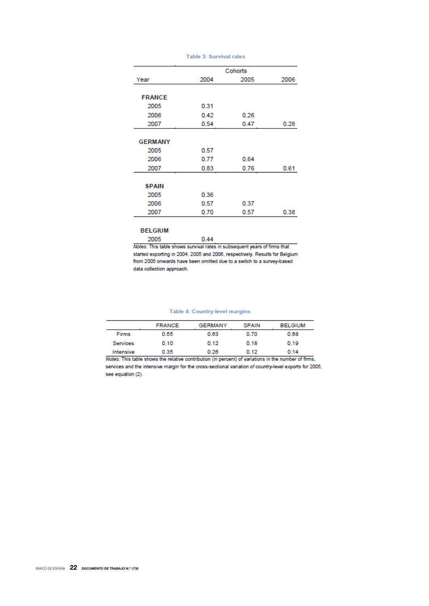|                |      | Cohorts |      |
|----------------|------|---------|------|
| Year           | 2004 | 2005    | 2006 |
| <b>FRANCE</b>  |      |         |      |
| 2005           | 0.31 |         |      |
| 2006           | 0.42 | 0.26    |      |
| 2007           | 0.54 | 0.47    | 0.28 |
|                |      |         |      |
| <b>GERMANY</b> |      |         |      |
| 2005           | 0.57 |         |      |
| 2006           | 0.77 | 0.64    |      |
| 2007           | 0.83 | 0.76    | 0.61 |
|                |      |         |      |
| <b>SPAIN</b>   |      |         |      |
| 2005           | 0.36 |         |      |
| 2006           | 0.57 | 0.37    |      |
| 2007           | 0.70 | 0.57    | 0.38 |

#### **Table 3: Survival rates**

# **BELGIUM**

2005

Notes: This table shows survival rates in subsequent years of firms that started exporting in 2004, 2005 and 2006, respectively. Results for Belgium from 2005 onwards have been omitted due to a switch to a survey-based data collection approach.

 $0.44$ 

# **Table 4: Country-level margins**

|              | <b>FRANCE</b> | <b>GERMANY</b> | <b>SPAIN</b> | <b>BELGIUM</b> |
|--------------|---------------|----------------|--------------|----------------|
| <b>Firms</b> | 0.55          | 0.63           | 0.70         | 0.68           |
| Services     | 0.10          | 0.12           | 0.18         | 0.19           |
| Intensive    | 0.35          | 0.26           | 0.12         | 0.14           |

Notes: This table shows the relative contribution (in percent) of variations in the number of firms, services and the intensive margin for the cross-sectional variation of country-level exports for 2005, see equation (2).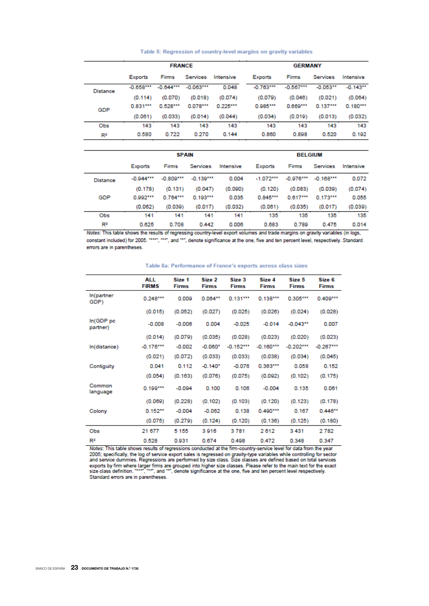Table 5: Regression of country-level margins on gravity variables

|          |             | <b>FRANCE</b> |             |            | <b>GERMANY</b> |              |                 |             |  |
|----------|-------------|---------------|-------------|------------|----------------|--------------|-----------------|-------------|--|
|          | Exports     | <b>Firms</b>  | Services    | Intensive  | <b>Exports</b> | <b>Firms</b> | <b>Services</b> | Intensive   |  |
| Distance | $-0.658***$ | $-0.644***$   | $-0.063***$ | 0.048      | $-0.763***$    | $-0.567***$  | $-0.053**$      | $-0.143***$ |  |
|          | (0.114)     | (0.070)       | (0.018)     | (0.074)    | (0.079)        | (0.046)      | (0.021)         | (0.064)     |  |
| GDP      | 0.831***    | $0.528***$    | $0.078***$  | $0.225***$ | $0.985***$     | $0.669***$   | $0.137***$      | $0.180***$  |  |
|          | (0.061)     | (0.033)       | (0.014)     | (0.044)    | (0.034)        | (0.019)      | (0.013)         | (0.032)     |  |
| Obs      | 143         | 143           | 143         | 143        | 143            | 143          | 143             | 143         |  |
| R2       | 0.580       | 0.722         | 0.270       | 0.144      | 0.860          | 0.898        | 0.520           | 0.192       |  |

|                 |                | <b>SPAIN</b> |             |           |                | <b>BELGIUM</b> |             |           |  |  |
|-----------------|----------------|--------------|-------------|-----------|----------------|----------------|-------------|-----------|--|--|
|                 | <b>Exports</b> | Firms        | Services    | Intensive | <b>Exports</b> | Firms          | Services    | Intensive |  |  |
| <b>Distance</b> | $-0.944***$    | $-0.809***$  | $-0.139***$ | 0.004     | $-1.072***$    | $-0.976***$    | $-0.168***$ | 0.072     |  |  |
|                 | (0.178)        | (0.131)      | (0.047)     | (0.090)   | (0.120)        | (0.083)        | (0.039)     | (0.074)   |  |  |
| GDP             | $0.992***$     | $0.764***$   | $0.193***$  | 0.035     | $0.845***$     | $0.617***$     | $0.173***$  | 0.055     |  |  |
|                 | (0.062)        | (0.039)      | (0.017)     | (0.032)   | (0.061)        | (0.035)        | (0.017)     | (0.039)   |  |  |
| Obs             | 141            | 141          | 141         | 141       | 135            | 135            | 135         | 135       |  |  |
| R <sup>2</sup>  | 0.625          | 0.708        | 0.442       | 0.006     | 0.683          | 0.789          | 0.475       | 0.014     |  |  |

Notes: This table shows the results of regressing country-level export volumes and trade margins on gravity variables (in logs, constant included) for 2005. "\*\*\*, "\*\*", and "\*", denote significance at the one, five and ten percent level, respectively. Standard errors are in parentheses.

|                       | ALL<br><b>FIRMS</b> | Size 1<br><b>Firms</b> | Size 2<br><b>Firms</b> | Size 3<br><b>Firms</b> | Size 4<br><b>Firms</b> | Size 5<br><b>Firms</b> | Size 6<br><b>Firms</b> |
|-----------------------|---------------------|------------------------|------------------------|------------------------|------------------------|------------------------|------------------------|
| In(partner<br>GDP)    | $0.248***$          | 0.009                  | $0.064***$             | $0.131***$             | $0.138***$             | $0.305***$             | $0.409***$             |
|                       | (0.015)             | (0.052)                | (0.027)                | (0.025)                | (0.026)                | (0.024)                | (0.028)                |
| In(GDP pc<br>partner) | $-0.008$            | $-0.006$               | 0.004                  | $-0.025$               | $-0.014$               | $-0.043**$             | 0.007                  |
|                       | (0.014)             | (0.079)                | (0.035)                | (0.028)                | (0.023)                | (0.020)                | (0.023)                |
| In(distance)          | $-0.176***$         | $-0.002$               | $-0.060*$              | $-0.152***$            | $-0.160***$            | $-0.202***$            | $-0.267***$            |
|                       | (0.021)             | (0.072)                | (0.033)                | (0.033)                | (0.038)                | (0.034)                | (0.045)                |
| Contiguity            | 0.041               | 0.112                  | $-0.140*$              | $-0.076$               | $0.363***$             | 0.058                  | 0.152                  |
|                       | (0.054)             | (0.163)                | (0.076)                | (0.075)                | (0.092)                | (0.102)                | (0.175)                |
| Common<br>language    | $0.199***$          | $-0.094$               | 0.100                  | 0.106                  | $-0.004$               | 0.135                  | 0.061                  |
|                       | (0.069)             | (0.228)                | (0.102)                | (0.103)                | (0.120)                | (0.123)                | (0.178)                |
| Colony                | $0.152***$          | $-0.004$               | $-0.062$               | 0.138                  | $0.490***$             | 0.167                  | $0.446**$              |
|                       | (0.075)             | (0.279)                | (0.124)                | (0.120)                | (0.136)                | (0.125)                | (0.180)                |
| Obs                   | 21 677              | 5 1 5 5                | 3916                   | 3781                   | 2612                   | 3431                   | 2782                   |
| R2                    | 0.528               | 0.931                  | 0.674                  | 0.498                  | 0.472                  | 0.348                  | 0.347                  |

#### Table 6a: Performance of France's exports across class sizes

Notes: This table shows results of regressions conducted at the firm-country-service level for data from the year Notes. This can't was results by the bulge systems conducted at the limit-country-service lot of specifically, the log of service exports is regressed on gravity-type variables while controlling for sector and service dumm Standard errors are in parentheses.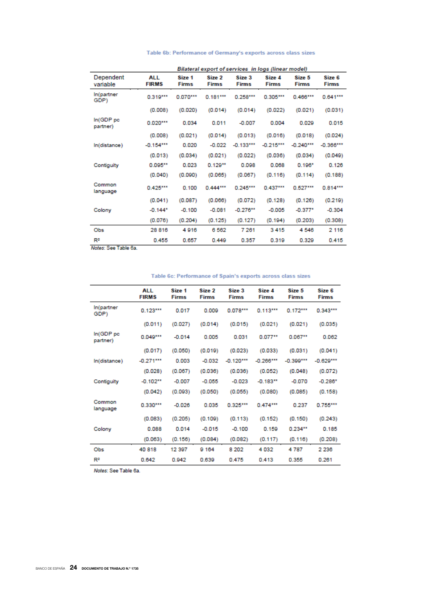| Table 6b: Performance of Germany's exports across class sizes |  |  |  |
|---------------------------------------------------------------|--|--|--|

|                                   | Bilateral export of services in logs (linear model) |                        |                        |                        |                        |                        |                        |  |
|-----------------------------------|-----------------------------------------------------|------------------------|------------------------|------------------------|------------------------|------------------------|------------------------|--|
| Dependent<br>variable             | <b>ALL</b><br><b>FIRMS</b>                          | Size 1<br><b>Firms</b> | Size 2<br><b>Firms</b> | Size 3<br><b>Firms</b> | Size 4<br><b>Firms</b> | Size 5<br><b>Firms</b> | Size 6<br><b>Firms</b> |  |
| In(partner<br>GDP)                | $0.319***$                                          | 0.070***               | $0.181***$             | $0.258***$             | $0.305***$             | $0.466***$             | $0.641***$             |  |
|                                   | (0.008)                                             | (0.020)                | (0.014)                | (0.014)                | (0.022)                | (0.021)                | (0.031)                |  |
| In (GDP <sub>pc</sub><br>partner) | $0.020***$                                          | 0.034                  | 0.011                  | $-0.007$               | 0.004                  | 0.029                  | 0.015                  |  |
|                                   | (0.008)                                             | (0.021)                | (0.014)                | (0.013)                | (0.016)                | (0.018)                | (0.024)                |  |
| In(distance)                      | $-0.154***$                                         | 0.020                  | $-0.022$               | $-0.133***$            | $-0.215***$            | $-0.240***$            | $-0.366***$            |  |
|                                   | (0.013)                                             | (0.034)                | (0.021)                | (0.022)                | (0.036)                | (0.034)                | (0.049)                |  |
| Contiguity                        | $0.095***$                                          | 0.023                  | $0.129***$             | 0.098                  | 0.068                  | $0.196*$               | 0.126                  |  |
|                                   | (0.040)                                             | (0.090)                | (0.065)                | (0.067)                | (0.116)                | (0.114)                | (0.188)                |  |
| Common<br>language                | $0.425***$                                          | 0.100                  | $0.444***$             | $0.245***$             | $0.437***$             | $0.527***$             | $0.814***$             |  |
|                                   | (0.041)                                             | (0.087)                | (0.066)                | (0.072)                | (0.128)                | (0.126)                | (0.219)                |  |
| Colony                            | $-0.144*$                                           | $-0.100$               | $-0.081$               | $-0.276***$            | $-0.005$               | $-0.377*$              | $-0.304$               |  |
|                                   | (0.076)                                             | (0.204)                | (0.125)                | (0.127)                | (0.194)                | (0.203)                | (0.308)                |  |
| Obs                               | 28 816                                              | 4916                   | 6562                   | 7 2 6 1                | 3415                   | 4546                   | 2 1 1 6                |  |
| $R^2$                             | 0.455                                               | 0.657                  | 0.449                  | 0.357                  | 0.319                  | 0.329                  | 0.415                  |  |
| Motor: Con Table Ra               |                                                     |                        |                        |                        |                        |                        |                        |  |

Notes: See Table 6a.

|                                   | <b>ALL</b><br><b>FIRMS</b> | Size 1<br><b>Firms</b> | Size 2<br><b>Firms</b> | Size 3<br><b>Firms</b> | Size 4<br><b>Firms</b> | Size 5<br><b>Firms</b> | Size 6<br><b>Firms</b> |
|-----------------------------------|----------------------------|------------------------|------------------------|------------------------|------------------------|------------------------|------------------------|
| In(partner<br>GDP)                | $0.123***$                 | 0.017                  | 0.009                  | $0.078***$             | $0.113***$             | $0.172***$             | $0.343***$             |
|                                   | (0.011)                    | (0.027)                | (0.014)                | (0.015)                | (0.021)                | (0.021)                | (0.035)                |
| In (GDP <sub>pc</sub><br>partner) | $0.049***$                 | $-0.014$               | 0.005                  | 0.031                  | $0.077**$              | $0.067***$             | 0.062                  |
|                                   | (0.017)                    | (0.050)                | (0.019)                | (0.023)                | (0.033)                | (0.031)                | (0.041)                |
| In(distance)                      | $-0.271***$                | 0.003                  | $-0.032$               | $-0.120***$            | $-0.266***$            | $-0.399***$            | $-0.629***$            |
|                                   | (0.028)                    | (0.067)                | (0.036)                | (0.036)                | (0.052)                | (0.048)                | (0.072)                |
| Contiguity                        | $-0.102**$                 | $-0.007$               | $-0.055$               | $-0.023$               | $-0.183**$             | $-0.070$               | $-0.286*$              |
|                                   | (0.042)                    | (0.093)                | (0.050)                | (0.055)                | (0.080)                | (0.085)                | (0.158)                |
| Common<br>language                | $0.330***$                 | $-0.026$               | 0.035                  | $0.325***$             | $0.474***$             | 0.237                  | $0.755***$             |
|                                   | (0.083)                    | (0.205)                | (0.109)                | (0.113)                | (0.152)                | (0.150)                | (0.243)                |
| Colony                            | 0.088                      | 0.014                  | $-0.015$               | $-0.100$               | 0.159                  | $0.234***$             | 0.185                  |
|                                   | (0.063)                    | (0.156)                | (0.084)                | (0.082)                | (0.117)                | (0.116)                | (0.208)                |
| Obs                               | 40 818                     | 12 397                 | 9 1 6 4                | 8 2 0 2                | 4 0 3 2                | 4 7 8 7                | 2 2 3 6                |
| R <sup>2</sup>                    | 0.642                      | 0.942                  | 0.639                  | 0.475                  | 0.413                  | 0.355                  | 0.261                  |

Table 6c: Performance of Spain's exports across class sizes

Notes: See Table 6a.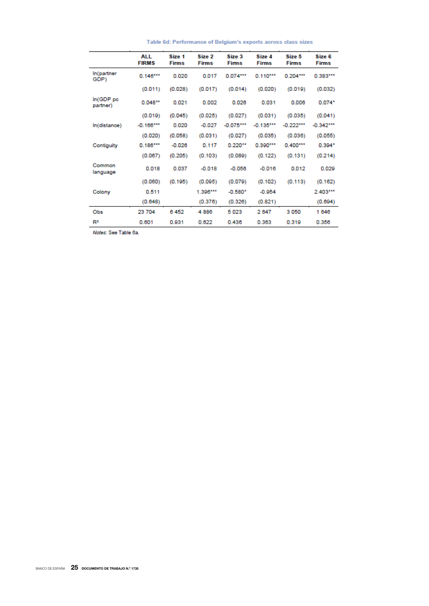|                                   | ALL<br><b>FIRMS</b> | Size 1<br><b>Firms</b> | Size 2<br><b>Firms</b> | Size 3<br><b>Firms</b> | Size 4<br><b>Firms</b> | Size 5<br><b>Firms</b> | Size 6<br><b>Firms</b> |
|-----------------------------------|---------------------|------------------------|------------------------|------------------------|------------------------|------------------------|------------------------|
| In(partner<br>GDP)                | $0.146***$          | 0.020                  | 0.017                  | $0.074***$             | $0.110***$             | $0.204***$             | $0.383***$             |
|                                   | (0.011)             | (0.028)                | (0.017)                | (0.014)                | (0.020)                | (0.019)                | (0.032)                |
| In (GDP <sub>pc</sub><br>partner) | $0.048***$          | 0.021                  | 0.002                  | 0.026                  | 0.031                  | 0.006                  | $0.074*$               |
|                                   | (0.019)             | (0.045)                | (0.025)                | (0.027)                | (0.031)                | (0.035)                | (0.041)                |
| In(distance)                      | $-0.166***$         | 0.020                  | $-0.027$               | $-0.075***$            | $-0.135***$            | $-0.222***$            | $-0.342***$            |
|                                   | (0.020)             | (0.058)                | (0.031)                | (0.027)                | (0.035)                | (0.036)                | (0.055)                |
| Contiguity                        | $0.186***$          | $-0.026$               | 0.117                  | $0.220**$              | $0.390***$             | $0.400***$             | $0.394*$               |
|                                   | (0.067)             | (0.205)                | (0.103)                | (0.089)                | (0.122)                | (0.131)                | (0.214)                |
| Common<br>language                | 0.018               | 0.037                  | $-0.018$               | $-0.056$               | $-0.016$               | 0.012                  | 0.029                  |
|                                   | (0.060)             | (0.195)                | (0.095)                | (0.079)                | (0.102)                | (0.113)                | (0.162)                |
| Colony                            | 0.511               |                        | $1.396***$             | $-0.580*$              | $-0.954$               |                        | 2.403***               |
|                                   | (0.648)             |                        | (0.376)                | (0.326)                | (0.821)                |                        | (0.694)                |
| Obs                               | 23 704              | 6452                   | 4886                   | 5023                   | 2 647                  | 3050                   | 1 646                  |
| R <sup>2</sup>                    | 0.601               | 0.931                  | 0.622                  | 0.436                  | 0.363                  | 0.319                  | 0.356                  |

Table 6d: Performance of Belgium's exports across class sizes

Notes: See Table 6a.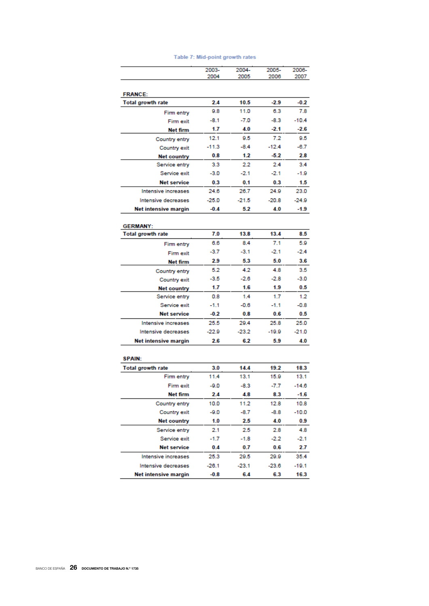|                          | 2003-<br>2004 | 2004-<br>2005 | 2005-<br>2006 | 2006-<br>2007 |
|--------------------------|---------------|---------------|---------------|---------------|
|                          |               |               |               |               |
| <b>FRANCE:</b>           |               |               |               |               |
| <b>Total growth rate</b> | 2.4           | 10.5          | $-2.9$        | $-0.2$        |
| Firm entry               | 9.8           | 11.0          | 6.3           | 7.8           |
| Firm exit                | $-8.1$        | $-7.0$        | $-8.3$        | $-10.4$       |
| Net firm                 | 1.7           | 4.0           | $-2.1$        | $-2.6$        |
| Country entry            | 12.1          | 9.5           | 7.2           | 9.5           |
| Country exit             | $-11.3$       | $-8.4$        | -12.4         | $-6.7$        |
| <b>Net country</b>       | 0.8           | 1.2           | $-5.2$        | 2.8           |
| Service entry            | 3.3           | 2.2           | 2.4           | 3.4           |
| Service exit             | -3.0          | $-2.1$        | -2.1          | -1.9          |
| <b>Net service</b>       | 0.3           | 0.1           | 0.3           | 1.5           |
| Intensive increases      | 24.6          | 26.7          | 24.9          | 23.0          |
| Intensive decreases      | $-25.0$       | $-21.5$       | $-20.8$       | $-24.9$       |
| Net intensive margin     | $-0.4$        | 5.2           | 4.0           | $-1.9$        |
| <b>GERMANY:</b>          |               |               |               |               |
| <b>Total growth rate</b> | 7.0           | 13.8          | 13.4          | 8.5           |
| Firm entry               | 6.6           | 8.4           | 7.1           | 5.9           |
| Firm exit                | -3.7          | $-3.1$        | $-2.1$        | -2.4          |
| Net firm                 | 2.9           | 5.3           | 5.0           | 3.6           |
| Country entry            | 5.2           | 4.2           | 4.8           | 3.5           |
| Country exit             | -3.5          | $-2.6$        | $-2.8$        | $-3.0$        |
| Net country              | 1.7           | 1.6           | 1.9           | 0.5           |
| Service entry            | 0.8           | 1.4           | 1.7           | 1.2           |
| Service exit             | $-1.1$        | $-0.6$        | $-1.1$        | $-0.8$        |
| <b>Net service</b>       | $-0.2$        | 0.8           | 0.6           | 0.5           |
| Intensive increases      | 25.5          | 29.4          | 25.8          | 25.0          |
| Intensive decreases      | -22.9         | $-23.2$       | -19.9         | $-21.0$       |
| Net intensive margin     | 2.6           | 6.2           | 5.9           | 4.0           |
| <b>SPAIN:</b>            |               |               |               |               |
| <b>Total growth rate</b> | 3.0           | 14.4          | 19.2          | 18.3          |
| Firm entry               | 11.4          | 13.1          | 15.9          | 13.1          |
| Firm exit                | -9.0          | $-8.3$        | -7.7          | $-14.6$       |
| Net firm                 | 2.4           | 4.8           | 8.3           | $-1.6$        |
| Country entry            | 10.0          | 11.2          | 12.8          | 10.8          |
| Country exit             | -9.0          | -8.7          | -8.8          | $-10.0$       |
| Net country              | 1.0           | 2.5           | 4.0           | 0.9           |
| Service entry            | 2.1           | 2.5           | 2.8           | 4.8           |
| Service exit             | -1.7          | $-1.8$        | $-2.2$        | $-2.1$        |
| <b>Net service</b>       | 0.4           | 0.7           | 0.6           | 2.7           |
| Intensive increases      | 25.3          | 29.5          | 29.9          | 35.4          |
| Intensive decreases      | $-26.1$       | $-23.1$       | $-23.6$       | $-19.1$       |
| Net intensive margin     | $-0.8$        | 6.4           | 6.3           | 16.3          |

# Table 7: Mid-point growth rates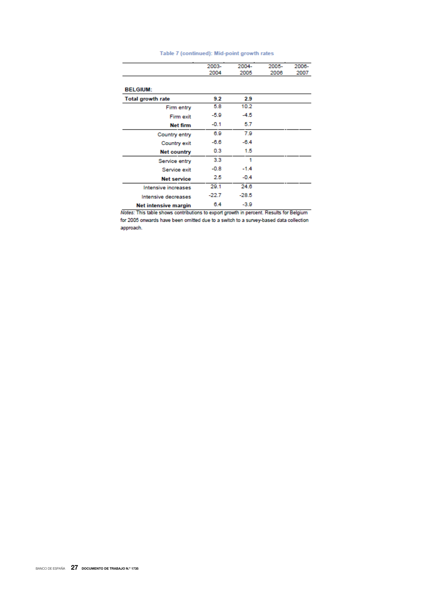|                          | 2003-   | 2004-   | 2005- | 2006- |
|--------------------------|---------|---------|-------|-------|
|                          | 2004    | 2005    | 2006  | 2007  |
| <b>BELGIUM:</b>          |         |         |       |       |
| <b>Total growth rate</b> | 9.2     | 2.9     |       |       |
| Firm entry               | 5.8     | 10.2    |       |       |
| Firm exit                | -5.9    | $-4.5$  |       |       |
| Net firm                 | $-0.1$  | 5.7     |       |       |
| Country entry            | 6.9     | 7.9     |       |       |
| Country exit             | $-6.6$  | $-6.4$  |       |       |
| Net country              | 0.3     | 1.5     |       |       |
| Service entry            | 3.3     | 1       |       |       |
| Service exit             | $-0.8$  | $-1.4$  |       |       |
| <b>Net service</b>       | 2.5     | $-0.4$  |       |       |
| Intensive increases      | 29.1    | 24.6    |       |       |
| Intensive decreases      | $-22.7$ | $-28.5$ |       |       |
| Net intensive margin     | 6.4     | $-3.9$  |       |       |

# Table 7 (continued): Mid-point growth rates

Notes: This table shows contributions to export growth in percent. Results for Belgium for 2005 onwards have been omitted due to a switch to a survey-based data collection approach.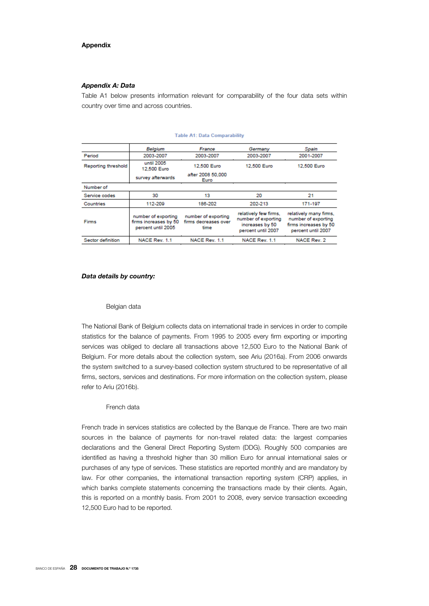#### **Appendix**

#### *Appendix A: Data*

Table A1 below presents information relevant for comparability of the four data sets within country over time and across countries.

|                     | Belgium                                                            | France                                              | Germany                                                                               | Spain                                                                                        |  |
|---------------------|--------------------------------------------------------------------|-----------------------------------------------------|---------------------------------------------------------------------------------------|----------------------------------------------------------------------------------------------|--|
| Period              | 2003-2007                                                          | 2003-2007                                           | 2003-2007                                                                             | 2001-2007                                                                                    |  |
| Reporting threshold | until 2005<br>12,500 Euro                                          | 12,500 Euro                                         | 12,500 Euro                                                                           | 12,500 Euro                                                                                  |  |
|                     | survey afterwards                                                  | after 2008 50,000<br>Euro                           |                                                                                       |                                                                                              |  |
| Number of           |                                                                    |                                                     |                                                                                       |                                                                                              |  |
| Service codes       | 30                                                                 | 13                                                  | 20<br>21                                                                              |                                                                                              |  |
| Countries           | 112-209                                                            | 186-202                                             | 202-213                                                                               | 171-197                                                                                      |  |
| <b>Firms</b>        | number of exporting<br>firms increases by 50<br>percent until 2005 | number of exporting<br>firms decreases over<br>time | relatively few firms,<br>number of exporting<br>increases by 50<br>percent until 2007 | relatively many firms.<br>number of exporting<br>firms increases by 50<br>percent until 2007 |  |
| Sector definition   | NACE Rev. 1.1                                                      | NACE Rev. 1.1                                       | NACE Rev. 1.1                                                                         | NACE Rev. 2                                                                                  |  |

#### **Table A1: Data Comparability**

#### *Data details by country:*

#### Belgian data

The National Bank of Belgium collects data on international trade in services in order to compile statistics for the balance of payments. From 1995 to 2005 every firm exporting or importing services was obliged to declare all transactions above 12,500 Euro to the National Bank of Belgium. For more details about the collection system, see Ariu (2016a). From 2006 onwards the system switched to a survey-based collection system structured to be representative of all firms, sectors, services and destinations. For more information on the collection system, please refer to Ariu (2016b).

### French data

French trade in services statistics are collected by the Banque de France. There are two main sources in the balance of payments for non-travel related data: the largest companies declarations and the General Direct Reporting System (DDG). Roughly 500 companies are identified as having a threshold higher than 30 million Euro for annual international sales or purchases of any type of services. These statistics are reported monthly and are mandatory by law. For other companies, the international transaction reporting system (CRP) applies, in which banks complete statements concerning the transactions made by their clients. Again, this is reported on a monthly basis. From 2001 to 2008, every service transaction exceeding 12,500 Euro had to be reported.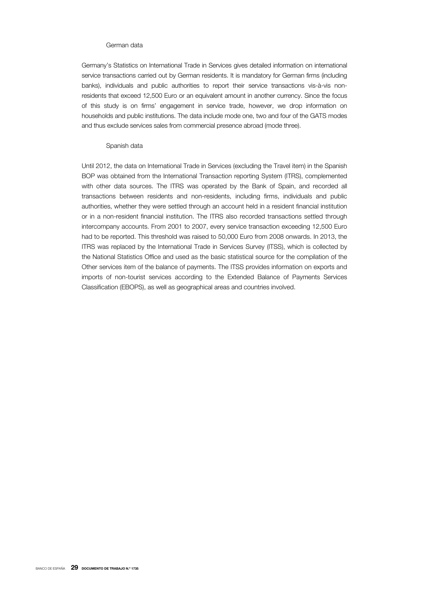#### German data

Germany's Statistics on International Trade in Services gives detailed information on international service transactions carried out by German residents. It is mandatory for German firms (including banks), individuals and public authorities to report their service transactions vis-à-vis nonresidents that exceed 12,500 Euro or an equivalent amount in another currency. Since the focus of this study is on firms' engagement in service trade, however, we drop information on households and public institutions. The data include mode one, two and four of the GATS modes and thus exclude services sales from commercial presence abroad (mode three).

# Spanish data

Until 2012, the data on International Trade in Services (excluding the Travel item) in the Spanish BOP was obtained from the International Transaction reporting System (ITRS), complemented with other data sources. The ITRS was operated by the Bank of Spain, and recorded all transactions between residents and non-residents, including firms, individuals and public authorities, whether they were settled through an account held in a resident financial institution or in a non-resident financial institution. The ITRS also recorded transactions settled through intercompany accounts. From 2001 to 2007, every service transaction exceeding 12,500 Euro had to be reported. This threshold was raised to 50,000 Euro from 2008 onwards. In 2013, the ITRS was replaced by the International Trade in Services Survey (ITSS), which is collected by the National Statistics Office and used as the basic statistical source for the compilation of the Other services item of the balance of payments. The ITSS provides information on exports and imports of non-tourist services according to the Extended Balance of Payments Services Classification (EBOPS), as well as geographical areas and countries involved.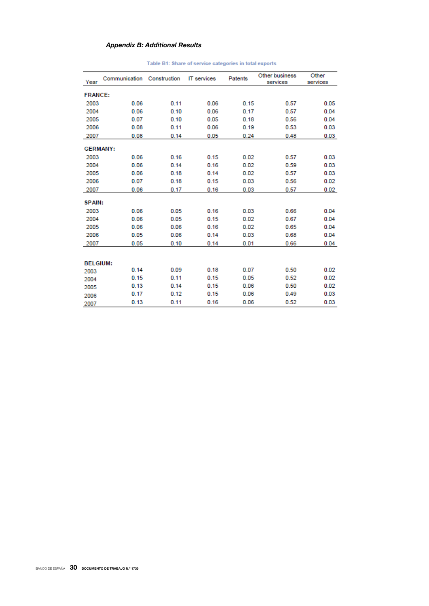# *Appendix B: Additional Results*

| Year            | Communication | Construction | <b>IT</b> services | Patents | Other business<br>services | Other<br>services |  |  |
|-----------------|---------------|--------------|--------------------|---------|----------------------------|-------------------|--|--|
| <b>FRANCE:</b>  |               |              |                    |         |                            |                   |  |  |
| 2003            | 0.06          | 0.11         | 0.06               | 0.15    | 0.57                       | 0.05              |  |  |
| 2004            | 0.06          | 0.10         | 0.06               | 0.17    | 0.57                       | 0.04              |  |  |
| 2005            | 0.07          | 0.10         | 0.05               | 0.18    | 0.56                       | 0.04              |  |  |
| 2006            | 0.08          | 0.11         | 0.06               | 0.19    | 0.53                       | 0.03              |  |  |
| 2007            | 0.08          | 0.14         | 0.05               | 0.24    | 0.48                       | 0.03              |  |  |
| <b>GERMANY:</b> |               |              |                    |         |                            |                   |  |  |
| 2003            | 0.06          | 0.16         | 0.15               | 0.02    | 0.57                       | 0.03              |  |  |
| 2004            | 0.06          | 0.14         | 0.16               | 0.02    | 0.59                       | 0.03              |  |  |
| 2005            | 0.06          | 0.18         | 0.14               | 0.02    | 0.57                       | 0.03              |  |  |
| 2006            | 0.07          | 0.18         | 0.15               | 0.03    | 0.56                       | 0.02              |  |  |
| 2007            | 0.06          | 0.17         | 0.16               | 0.03    | 0.57                       | 0.02              |  |  |
| <b>SPAIN:</b>   |               |              |                    |         |                            |                   |  |  |
| 2003            | 0.06          | 0.05         | 0.16               | 0.03    | 0.66                       | 0.04              |  |  |
| 2004            | 0.06          | 0.05         | 0.15               | 0.02    | 0.67                       | 0.04              |  |  |
| 2005            | 0.06          | 0.06         | 0.16               | 0.02    | 0.65                       | 0.04              |  |  |
| 2006            | 0.05          | 0.06         | 0.14               | 0.03    | 0.68                       | 0.04              |  |  |
| 2007            | 0.05          | 0.10         | 0.14               | 0.01    | 0.66                       | 0.04              |  |  |
|                 |               |              |                    |         |                            |                   |  |  |
| <b>BELGIUM:</b> |               |              |                    |         |                            |                   |  |  |
| 2003            | 0.14          | 0.09         | 0.18               | 0.07    | 0.50                       | 0.02              |  |  |
| 2004            | 0.15          | 0.11         | 0.15               | 0.05    | 0.52                       | 0.02              |  |  |
| 2005            | 0.13          | 0.14         | 0.15               | 0.06    | 0.50                       | 0.02              |  |  |
| 2006            | 0.17          | 0.12         | 0.15               | 0.06    | 0.49                       | 0.03              |  |  |
| 2007            | 0.13          | 0.11         | 0.16               | 0.06    | 0.52                       | 0.03              |  |  |

# Table B1: Share of service categories in total exports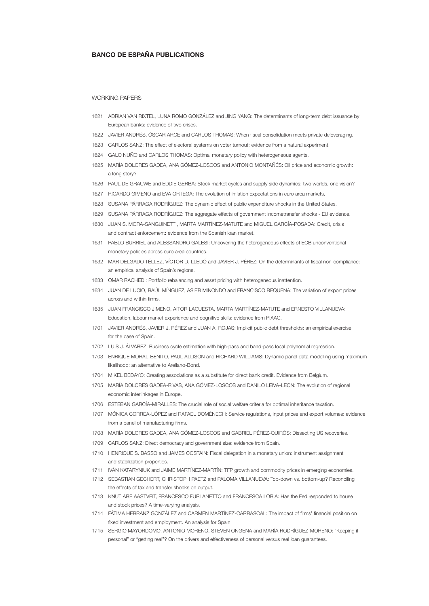## BANCO DE ESPAÑA PUBLICATIONS

#### WORKING PAPERS

- 1621 ADRIAN VAN RIXTEL, LUNA ROMO GONZÁLEZ and JING YANG: The determinants of long-term debt issuance by European banks: evidence of two crises.
- 1622 JAVIER ANDRÉS, ÓSCAR ARCE and CARLOS THOMAS: When fiscal consolidation meets private deleveraging.
- 1623 CARLOS SANZ: The effect of electoral systems on voter turnout: evidence from a natural experiment.
- 1624 GALO NUÑO and CARLOS THOMAS: Optimal monetary policy with heterogeneous agents.
- 1625 MARÍA DOLORES GADEA, ANA GÓMEZ-LOSCOS and ANTONIO MONTAÑÉS: Oil price and economic growth: a long story?
- 1626 PAUL DE GRAUWE and EDDIE GERBA: Stock market cycles and supply side dynamics: two worlds, one vision?
- 1627 RICARDO GIMENO and EVA ORTEGA: The evolution of inflation expectations in euro area markets.
- 1628 SUSANA PÁRRAGA RODRÍGUEZ: The dynamic effect of public expenditure shocks in the United States.
- 1629 SUSANA PÁRRAGA RODRÍGUEZ: The aggregate effects of government incometransfer shocks EU evidence.
- 1630 JUAN S. MORA-SANGUINETTI, MARTA MARTÍNEZ-MATUTE and MIGUEL GARCÍA-POSADA: Credit, crisis and contract enforcement: evidence from the Spanish loan market.
- 1631 PABLO BURRIEL and ALESSANDRO GALESI: Uncovering the heterogeneous effects of ECB unconventional monetary policies across euro area countries.
- 1632 MAR DELGADO TÉLLEZ, VÍCTOR D. LLEDÓ and JAVIER J. PÉREZ: On the determinants of fiscal non-compliance: an empirical analysis of Spain's regions.
- 1633 OMAR RACHEDI: Portfolio rebalancing and asset pricing with heterogeneous inattention.
- 1634 JUAN DE LUCIO, RAÚL MÍNGUEZ, ASIER MINONDO and FRANCISCO REQUENA: The variation of export prices across and within firms.
- 1635 JUAN FRANCISCO JIMENO, AITOR LACUESTA, MARTA MARTÍNEZ-MATUTE and ERNESTO VILLANUEVA: Education, labour market experience and cognitive skills: evidence from PIAAC.
- 1701 JAVIER ANDRÉS, JAVIER J. PÉREZ and JUAN A. ROJAS: Implicit public debt thresholds: an empirical exercise for the case of Spain.
- 1702 LUIS J. ÁLVAREZ: Business cycle estimation with high-pass and band-pass local polynomial regression.
- 1703 ENRIQUE MORAL-BENITO, PAUL ALLISON and RICHARD WILLIAMS: Dynamic panel data modelling using maximum likelihood: an alternative to Arellano-Bond.
- 1704 MIKEL BEDAYO: Creating associations as a substitute for direct bank credit. Evidence from Belgium.
- 1705 MARÍA DOLORES GADEA-RIVAS, ANA GÓMEZ-LOSCOS and DANILO LEIVA-LEON: The evolution of regional economic interlinkages in Europe.
- 1706 ESTEBAN GARCÍA-MIRALLES: The crucial role of social welfare criteria for optimal inheritance taxation.
- 1707 MÓNICA CORREA-LÓPEZ and RAFAEL DOMÉNECH: Service regulations, input prices and export volumes: evidence from a panel of manufacturing firms.
- 1708 MARÍA DOLORES GADEA, ANA GÓMEZ-LOSCOS and GABRIEL PÉREZ-QUIRÓS: Dissecting US recoveries.
- 1709 CARLOS SANZ: Direct democracy and government size: evidence from Spain.
- 1710 HENRIQUE S. BASSO and JAMES COSTAIN: Fiscal delegation in a monetary union: instrument assignment and stabilization properties.
- 1711 IVÁN KATARYNIUK and JAIME MARTÍNEZ-MARTÍN: TFP growth and commodity prices in emerging economies.
- 1712 SEBASTIAN GECHERT, CHRISTOPH PAETZ and PALOMA VILLANUEVA: Top-down vs. bottom-up? Reconciling the effects of tax and transfer shocks on output.
- 1713 KNUT ARE AASTVEIT, FRANCESCO FURLANETTO and FRANCESCA LORIA: Has the Fed responded to house and stock prices? A time-varying analysis.
- 1714 FÁTIMA HERRANZ GONZÁLEZ and CARMEN MARTÍNEZ-CARRASCAL: The impact of firms' financial position on fixed investment and employment. An analysis for Spain.
- 1715 SERGIO MAYORDOMO, ANTONIO MORENO, STEVEN ONGENA and MARÍA RODRÍGUEZ-MORENO: "Keeping it personal" or "getting real"? On the drivers and effectiveness of personal versus real loan guarantees.